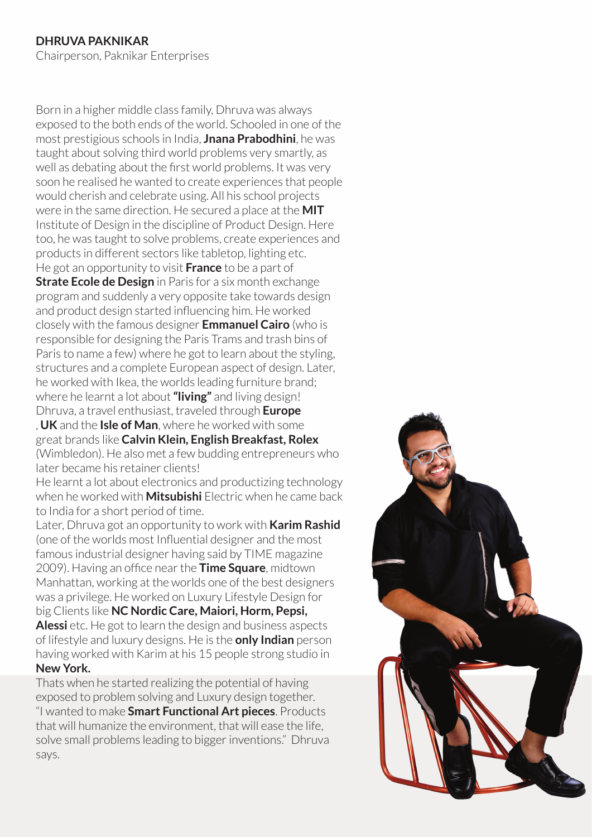Born in a higher middle class family, Dhruva was always exposed to the both ends of the world. Schooled in one of the most prestigious schools in India, **Jnana Prabodhini**, he was taught about solving third world problems very smartly, as well as debating about the first world problems. It was very soon he realised he wanted to create experiences that people would cherish and celebrate using. All his school projects were in the same direction. He secured a place at the **MIT** Institute of Design in the discipline of Product Design. Here too, he was taught to solve problems, create experiences and products in different sectors like tabletop, lighting etc. He got an opportunity to visit **France** to be a part of **Strate Ecole de Design** in Paris for a six month exchange program and suddenly a very opposite take towards design and product design started influencing him. He worked closely with the famous designer **Emmanuel Cairo** (who is responsible for designing the Paris Trams and trash bins of Paris to name a few) where he got to learn about the styling, structures and a complete European aspect of design. Later, he worked with Ikea, the worlds leading furniture brand; where he learnt a lot about **"living"** and living design! Dhruva, a travel enthusiast, traveled through **Europe**

, **UK** and the **Isle of Man**, where he worked with some great brands like **Calvin Klein, English Breakfast, Rolex** (Wimbledon). He also met a few budding entrepreneurs who later became his retainer clients!

He learnt a lot about electronics and productizing technology when he worked with **Mitsubishi** Electric when he came back to India for a short period of time.

Later, Dhruva got an opportunity to work with **Karim Rashid** (one of the worlds most Influential designer and the most famous industrial designer having said by TIME magazine 2009). Having an office near the **Time Square**, midtown Manhattan, working at the worlds one of the best designers was a privilege. He worked on Luxury Lifestyle Design for big Clients like **NC Nordic Care, Maiori, Horm, Pepsi, Alessi** etc. He got to learn the design and business aspects of lifestyle and luxury designs. He is the **only Indian** person having worked with Karim at his 15 people strong studio in

## **New York.**

Thats when he started realizing the potential of having exposed to problem solving and Luxury design together. "I wanted to make **Smart Functional Art pieces**. Products that will humanize the environment, that will ease the life, solve small problems leading to bigger inventions." Dhruva says.